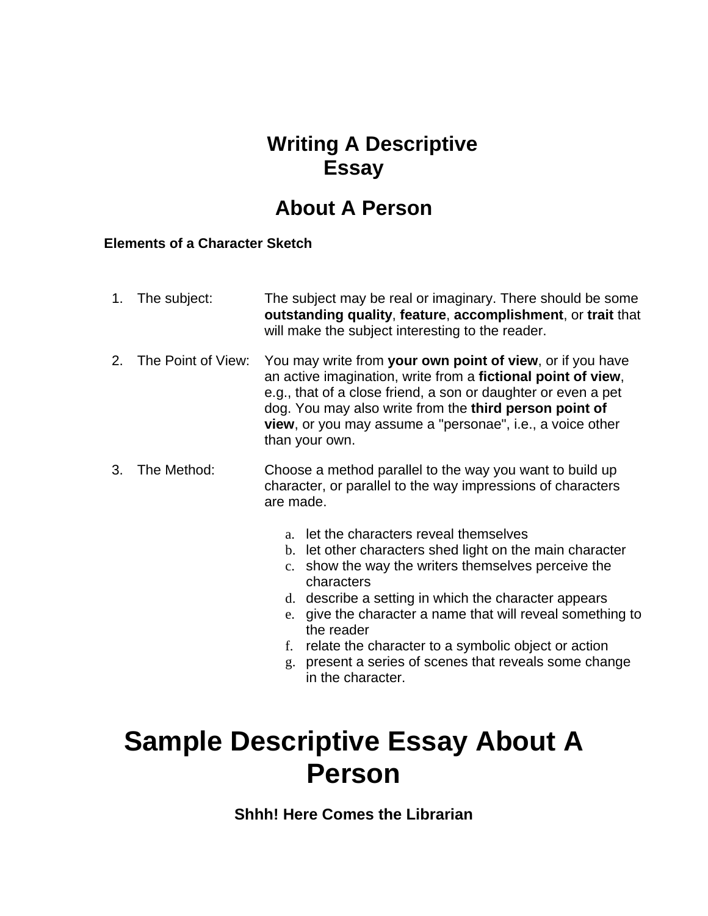## **Writing A Descriptive Essay**

## **About A Person**

### **Elements of a Character Sketch**

|    | 1. The subject:    | The subject may be real or imaginary. There should be some<br>outstanding quality, feature, accomplishment, or trait that<br>will make the subject interesting to the reader.                                                                                                                                                                                                                                                                                  |
|----|--------------------|----------------------------------------------------------------------------------------------------------------------------------------------------------------------------------------------------------------------------------------------------------------------------------------------------------------------------------------------------------------------------------------------------------------------------------------------------------------|
| 2. | The Point of View: | You may write from your own point of view, or if you have<br>an active imagination, write from a fictional point of view,<br>e.g., that of a close friend, a son or daughter or even a pet<br>dog. You may also write from the third person point of<br>view, or you may assume a "personae", i.e., a voice other<br>than your own.                                                                                                                            |
| 3. | The Method:        | Choose a method parallel to the way you want to build up<br>character, or parallel to the way impressions of characters<br>are made.                                                                                                                                                                                                                                                                                                                           |
|    |                    | a. let the characters reveal themselves<br>b. let other characters shed light on the main character<br>c. show the way the writers themselves perceive the<br>characters<br>d. describe a setting in which the character appears<br>give the character a name that will reveal something to<br>e.<br>the reader<br>relate the character to a symbolic object or action<br>f.<br>present a series of scenes that reveals some change<br>g.<br>in the character. |

# **Sample Descriptive Essay About A Person**

**Shhh! Here Comes the Librarian**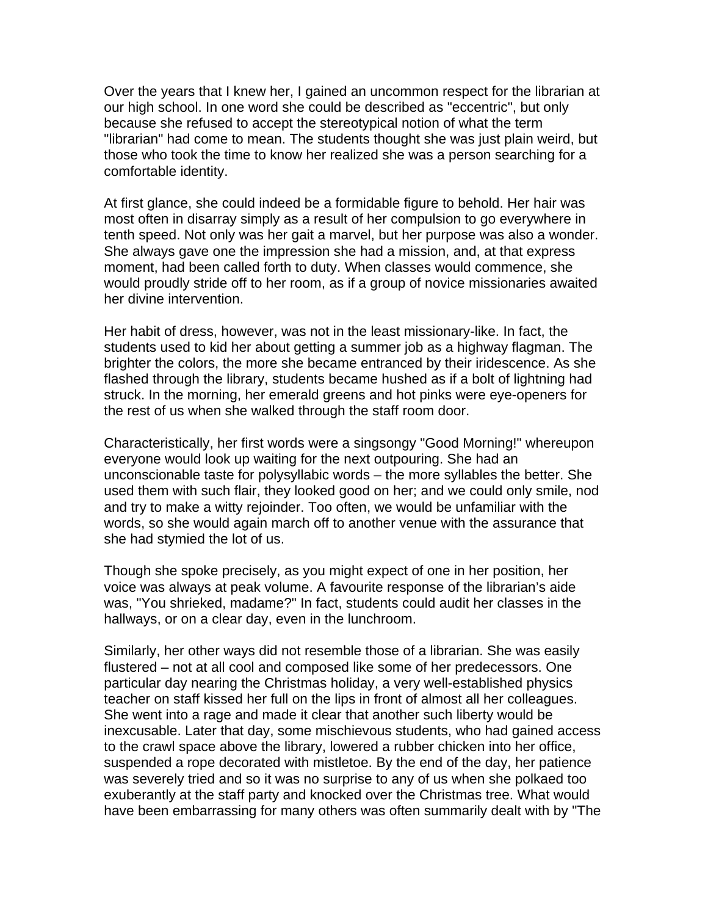Over the years that I knew her, I gained an uncommon respect for the librarian at our high school. In one word she could be described as "eccentric", but only because she refused to accept the stereotypical notion of what the term "librarian" had come to mean. The students thought she was just plain weird, but those who took the time to know her realized she was a person searching for a comfortable identity.

At first glance, she could indeed be a formidable figure to behold. Her hair was most often in disarray simply as a result of her compulsion to go everywhere in tenth speed. Not only was her gait a marvel, but her purpose was also a wonder. She always gave one the impression she had a mission, and, at that express moment, had been called forth to duty. When classes would commence, she would proudly stride off to her room, as if a group of novice missionaries awaited her divine intervention.

Her habit of dress, however, was not in the least missionary-like. In fact, the students used to kid her about getting a summer job as a highway flagman. The brighter the colors, the more she became entranced by their iridescence. As she flashed through the library, students became hushed as if a bolt of lightning had struck. In the morning, her emerald greens and hot pinks were eye-openers for the rest of us when she walked through the staff room door.

Characteristically, her first words were a singsongy "Good Morning!" whereupon everyone would look up waiting for the next outpouring. She had an unconscionable taste for polysyllabic words – the more syllables the better. She used them with such flair, they looked good on her; and we could only smile, nod and try to make a witty rejoinder. Too often, we would be unfamiliar with the words, so she would again march off to another venue with the assurance that she had stymied the lot of us.

Though she spoke precisely, as you might expect of one in her position, her voice was always at peak volume. A favourite response of the librarian's aide was, "You shrieked, madame?" In fact, students could audit her classes in the hallways, or on a clear day, even in the lunchroom.

Similarly, her other ways did not resemble those of a librarian. She was easily flustered – not at all cool and composed like some of her predecessors. One particular day nearing the Christmas holiday, a very well-established physics teacher on staff kissed her full on the lips in front of almost all her colleagues. She went into a rage and made it clear that another such liberty would be inexcusable. Later that day, some mischievous students, who had gained access to the crawl space above the library, lowered a rubber chicken into her office, suspended a rope decorated with mistletoe. By the end of the day, her patience was severely tried and so it was no surprise to any of us when she polkaed too exuberantly at the staff party and knocked over the Christmas tree. What would have been embarrassing for many others was often summarily dealt with by "The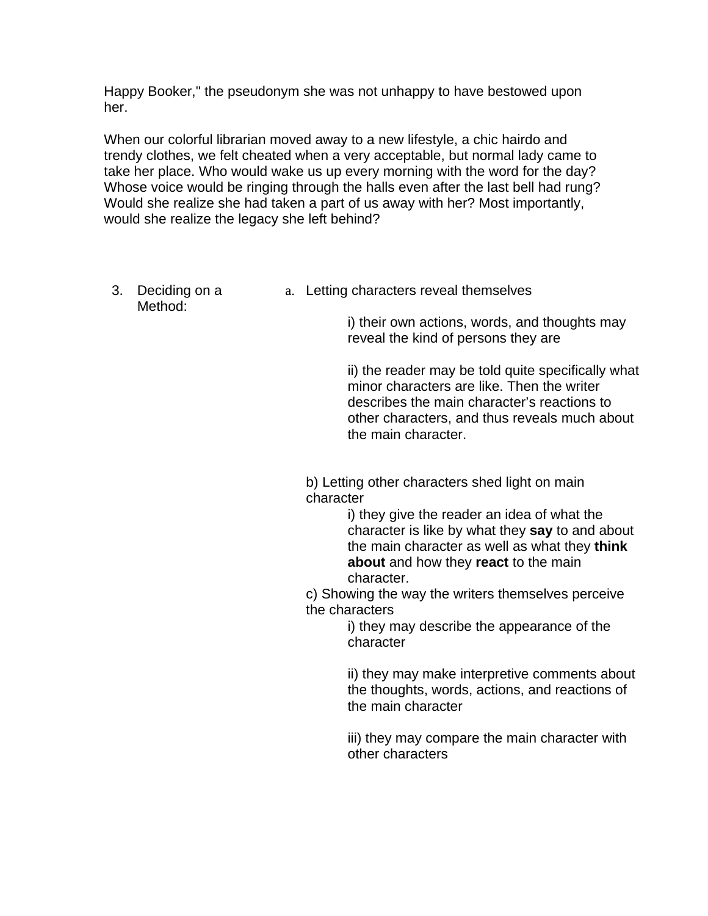Happy Booker," the pseudonym she was not unhappy to have bestowed upon her.

When our colorful librarian moved away to a new lifestyle, a chic hairdo and trendy clothes, we felt cheated when a very acceptable, but normal lady came to take her place. Who would wake us up every morning with the word for the day? Whose voice would be ringing through the halls even after the last bell had rung? Would she realize she had taken a part of us away with her? Most importantly, would she realize the legacy she left behind?

- 3. Deciding on a Method:
- a. Letting characters reveal themselves

i) their own actions, words, and thoughts may reveal the kind of persons they are

ii) the reader may be told quite specifically what minor characters are like. Then the writer describes the main character's reactions to other characters, and thus reveals much about the main character.

b) Letting other characters shed light on main character

i) they give the reader an idea of what the character is like by what they **say** to and about the main character as well as what they **think about** and how they **react** to the main character.

c) Showing the way the writers themselves perceive the characters

i) they may describe the appearance of the character

ii) they may make interpretive comments about the thoughts, words, actions, and reactions of the main character

iii) they may compare the main character with other characters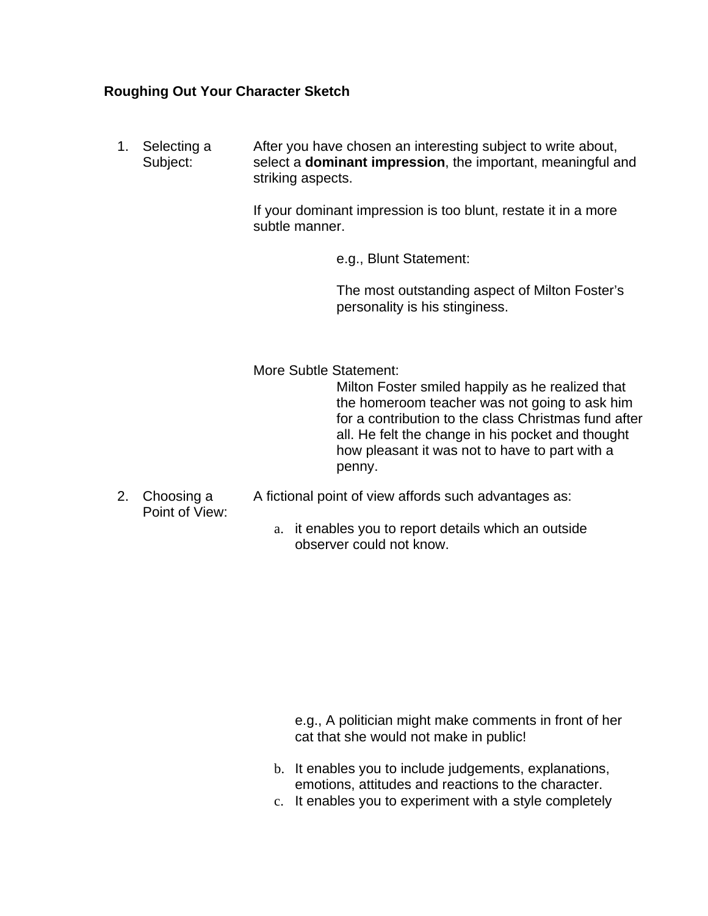### **Roughing Out Your Character Sketch**

1. Selecting a Subject: After you have chosen an interesting subject to write about, select a **dominant impression**, the important, meaningful and striking aspects.

> If your dominant impression is too blunt, restate it in a more subtle manner.

> > e.g., Blunt Statement:

The most outstanding aspect of Milton Foster's personality is his stinginess.

More Subtle Statement:

Milton Foster smiled happily as he realized that the homeroom teacher was not going to ask him for a contribution to the class Christmas fund after all. He felt the change in his pocket and thought how pleasant it was not to have to part with a penny.

- 2. Choosing a Point of View: A fictional point of view affords such advantages as:
	- a. it enables you to report details which an outside observer could not know.

e.g., A politician might make comments in front of her cat that she would not make in public!

- b. It enables you to include judgements, explanations, emotions, attitudes and reactions to the character.
- c. It enables you to experiment with a style completely